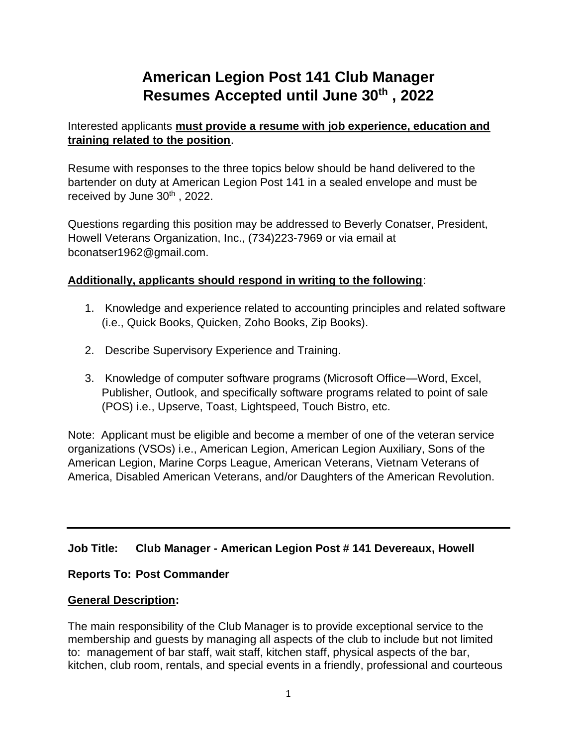# **American Legion Post 141 Club Manager Resumes Accepted until June 30th , 2022**

## Interested applicants **must provide a resume with job experience, education and training related to the position**.

Resume with responses to the three topics below should be hand delivered to the bartender on duty at American Legion Post 141 in a sealed envelope and must be received by June 30<sup>th</sup>, 2022.

Questions regarding this position may be addressed to Beverly Conatser, President, Howell Veterans Organization, Inc., (734)223-7969 or via email at bconatser1962@gmail.com.

## **Additionally, applicants should respond in writing to the following**:

- 1. Knowledge and experience related to accounting principles and related software (i.e., Quick Books, Quicken, Zoho Books, Zip Books).
- 2. Describe Supervisory Experience and Training.
- 3. Knowledge of computer software programs (Microsoft Office—Word, Excel, Publisher, Outlook, and specifically software programs related to point of sale (POS) i.e., Upserve, Toast, Lightspeed, Touch Bistro, etc.

Note: Applicant must be eligible and become a member of one of the veteran service organizations (VSOs) i.e., American Legion, American Legion Auxiliary, Sons of the American Legion, Marine Corps League, American Veterans, Vietnam Veterans of America, Disabled American Veterans, and/or Daughters of the American Revolution.

## **Job Title: Club Manager - American Legion Post # 141 Devereaux, Howell**

## **Reports To: Post Commander**

## **General Description:**

The main responsibility of the Club Manager is to provide exceptional service to the membership and guests by managing all aspects of the club to include but not limited to: management of bar staff, wait staff, kitchen staff, physical aspects of the bar, kitchen, club room, rentals, and special events in a friendly, professional and courteous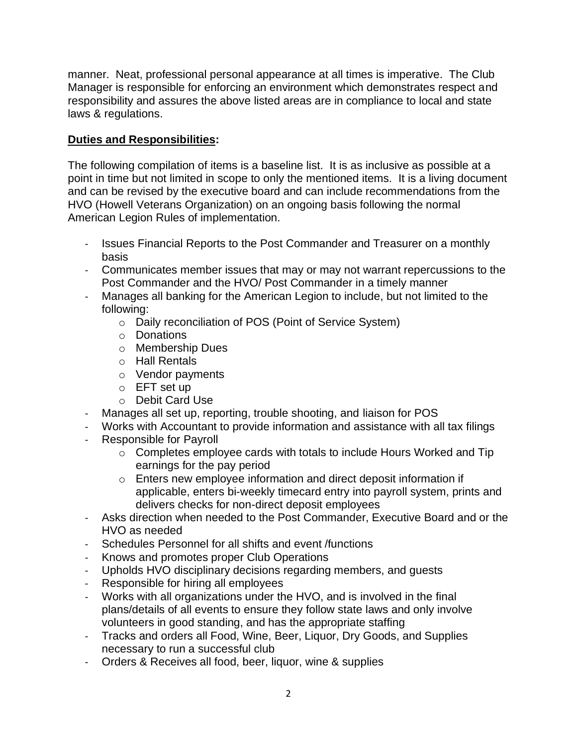manner. Neat, professional personal appearance at all times is imperative. The Club Manager is responsible for enforcing an environment which demonstrates respect and responsibility and assures the above listed areas are in compliance to local and state laws & regulations.

## **Duties and Responsibilities:**

The following compilation of items is a baseline list. It is as inclusive as possible at a point in time but not limited in scope to only the mentioned items. It is a living document and can be revised by the executive board and can include recommendations from the HVO (Howell Veterans Organization) on an ongoing basis following the normal American Legion Rules of implementation.

- Issues Financial Reports to the Post Commander and Treasurer on a monthly basis
- Communicates member issues that may or may not warrant repercussions to the Post Commander and the HVO/ Post Commander in a timely manner
- Manages all banking for the American Legion to include, but not limited to the following:
	- o Daily reconciliation of POS (Point of Service System)
	- o Donations
	- o Membership Dues
	- o Hall Rentals
	- o Vendor payments
	- o EFT set up
	- o Debit Card Use
- Manages all set up, reporting, trouble shooting, and liaison for POS
- Works with Accountant to provide information and assistance with all tax filings
- Responsible for Payroll
	- o Completes employee cards with totals to include Hours Worked and Tip earnings for the pay period
	- o Enters new employee information and direct deposit information if applicable, enters bi-weekly timecard entry into payroll system, prints and delivers checks for non-direct deposit employees
- Asks direction when needed to the Post Commander, Executive Board and or the HVO as needed
- Schedules Personnel for all shifts and event /functions
- Knows and promotes proper Club Operations
- Upholds HVO disciplinary decisions regarding members, and guests
- Responsible for hiring all employees
- Works with all organizations under the HVO, and is involved in the final plans/details of all events to ensure they follow state laws and only involve volunteers in good standing, and has the appropriate staffing
- Tracks and orders all Food, Wine, Beer, Liquor, Dry Goods, and Supplies necessary to run a successful club
- Orders & Receives all food, beer, liquor, wine & supplies